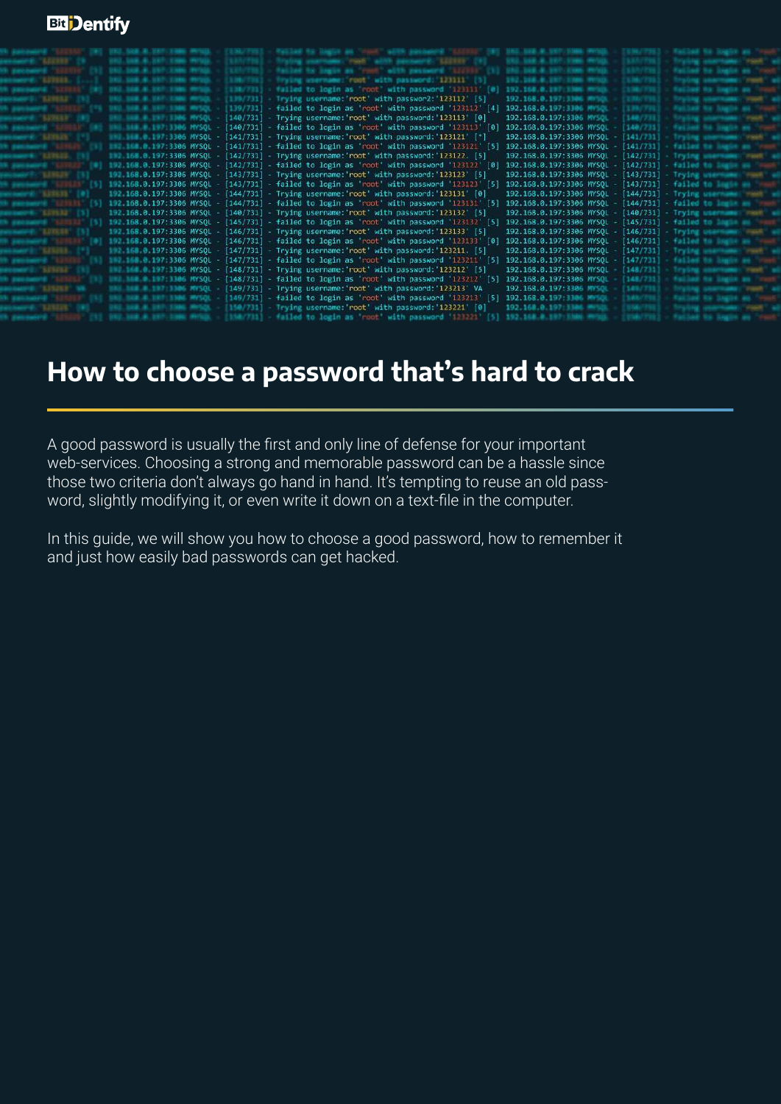# **Bit** Dentify

|               | 3302.3308.8.3377.5386.99720. - 2331 | MMC PSNT WINN HASSAUGE LOTTE THE 1993. HR.M.DEV.THR.M.HR.M.DEV.                                         |                                                       |                                                                   |  |
|---------------|-------------------------------------|---------------------------------------------------------------------------------------------------------|-------------------------------------------------------|-------------------------------------------------------------------|--|
|               |                                     | FAC2AR RX 2ABOR AB "YOUR WORK 24/04/04/08 "LISTED" [SI] SNC.2006.8.397-2000 RP/20.                      |                                                       |                                                                   |  |
|               |                                     | Trying unername: 'root' with password: '123111' [3]                                                     | 1912.168.8.1937.1386.WHOL-                            |                                                                   |  |
|               | DB-AL-287 1198 WFGB- 1 [138/723 ]-1 | $%$ Failed to login as 'root' with password '123111' $[0]$ 192.168.0.197.1886.00103. - (1386.778.)      |                                                       |                                                                   |  |
|               |                                     | [139/731] Trying username:'root' with passwor2:'123112' [5]                                             | 192.168.0.197:3306 MPSOL                              |                                                                   |  |
|               |                                     | with password '123112' [4] [139/731] - failed to login as 'root' with password '123112' [4]             | 192.168.0.197:3306 MYSQL                              |                                                                   |  |
|               |                                     | [0] The same with password: 123113' [0] - [140/731] - Trying username: root' with password: 123113' [0] | 192.168.0.197:3306 MYSQL -                            | 140/733                                                           |  |
|               |                                     | 10] "ELEVISION MYSQL - [140/731] - failed to login as 'root' with password '123113' [0]                 | 192.168.0.197:3306 MYSQL   140/731                    |                                                                   |  |
|               |                                     | 180 188 197:3306 MYSQL - [141/731] - Trying username: root' with password: '123121' [*]                 | 192.168.0.197:3306 MYSOL [141/731] 193.1 [15]         |                                                                   |  |
|               |                                     | 182.168.0.197:3306 MYSQL - [141/731] - failed to login as 'root' with password '123121' [5]             | 192.168.0.197:3306 MYSQL [141/731] falled the control |                                                                   |  |
|               |                                     | ##2.168.0.197:3306 MYSQL - [142/731] - Trying username:'root' with password:'123122. [5]                |                                                       | 192.168.0.197:3306 MYSQL [142/731] Trying and the                 |  |
|               |                                     | 192.168.0.197:3306 MYSQL - [142/731] - failed to login as 'root' with password '123122' [0]             |                                                       | 192.168.0.197:3306 MYSOL [142/731] failed to begin a              |  |
|               |                                     | 192.168.0.197:3306 MYSQL - [143/731] - Trying username: 'root' with password: '123123' [5]              |                                                       | 192.168.0.197:3306 MYSQL - [143/731] - Trying was a member of the |  |
|               |                                     | 192.168.0.197:3306 MYSQL - [143/731] - failed to login as 'root' with password '123123' [5]             |                                                       | 192.168.0.197:3306 MYSQL [143/731] failed to the con-             |  |
| <b>KEYLTE</b> |                                     | 192.168.0.197:3306 MYSQL - [144/731] - Trying username: 'root' with password: '123131' [0]              |                                                       | 192.168.0.197:3306 MYSQL - [144/731] - Trying ut a series of the  |  |
|               |                                     | 192.168.0.197:3306 MYSQL - [144/731] - failed to login as 'root' with password '123131' [5]             |                                                       | 192.168.0.197:3306 MYSQL - [144/731] - failed to learn            |  |
|               |                                     | 192.168.0.197:3306 MYSQL - [140/731] - Trying username: 'root' with password: '123132' [5]              | 192.168.0.197:3306 MYSOL - [140/731] Trying user      |                                                                   |  |
|               |                                     | 192.168.0.197:3306 MYSQL - [145/731] - failed to login as 'root' with password '123132' [5]             |                                                       | 192.168.0.197:3306 MYSQL - [145/731] - failed to help and         |  |
|               |                                     | 192.168.0.197:3306 MYSQL - [146/731] - Trying username: 'root' with password: '123133' [5]              | 192.168.0.197:3306 MYSOL - [146/731] Trying           |                                                                   |  |
|               |                                     | 192.168.0.197:3306 MYSQL - [146/731] - failed to login as 'coot' with password '123133' [0]             |                                                       | 192.168.0.197:3306 MYSQL - [146/731] failed the same              |  |
|               |                                     | 192.168.0.197:3306 MYSQL - [147/731] - Trying username: 'root' with password: '123211. [5]              | 192.168.0.197:3306 MYSQL - [147/731] - Trailer        |                                                                   |  |
|               |                                     | 182.168.0.197:3306 MYSQL - [147/731] - failed to login as 'root' with password '123211' [5]             |                                                       | 192.168.0.197:3306 MYSQL - [147/731] #ailed to be a               |  |
|               |                                     | 167.197.3306 MYSQL - [148/731] - Trying username: 'root' with password: '123212' [5]                    | 192.168.0.197:3306 MYSQL   [148/731]                  |                                                                   |  |
|               |                                     | 108.0.197:3306 MYSQL - [148/731] - failed to login as 'root' with password '123212' [5]                 | 192.168.0.197:3306 MYSOL - [148/733                   |                                                                   |  |
|               |                                     | WARE WE WELL AND MYSQL - [149/731] - Trying username:'root' with password:'123213' VA                   | 192.168.0.197:3306 MYSQL                              |                                                                   |  |
|               |                                     | <b>Bull 4 BBF BDM6 MWSQL</b> [149/731] - failed to login as 'root' with password '123213' [5]           | 192.168.0.197:3306 MYSOL                              |                                                                   |  |
|               |                                     | [8] [150/731] - Trying username: root' with password: 123221 [8]                                        | 192 168 0 197 1386 WINDS                              |                                                                   |  |
|               |                                     | ESSM/FS11 - Wailed to login as 'root' with password '123221'                                            |                                                       |                                                                   |  |

# **How to choose a password that's hard to crack**

A good password is usually the first and only line of defense for your important web-services. Choosing a strong and memorable password can be a hassle since those two criteria don't always go hand in hand. It's tempting to reuse an old password, slightly modifying it, or even write it down on a text-file in the computer.

In this guide, we will show you how to choose a good password, how to remember it and just how easily bad passwords can get hacked.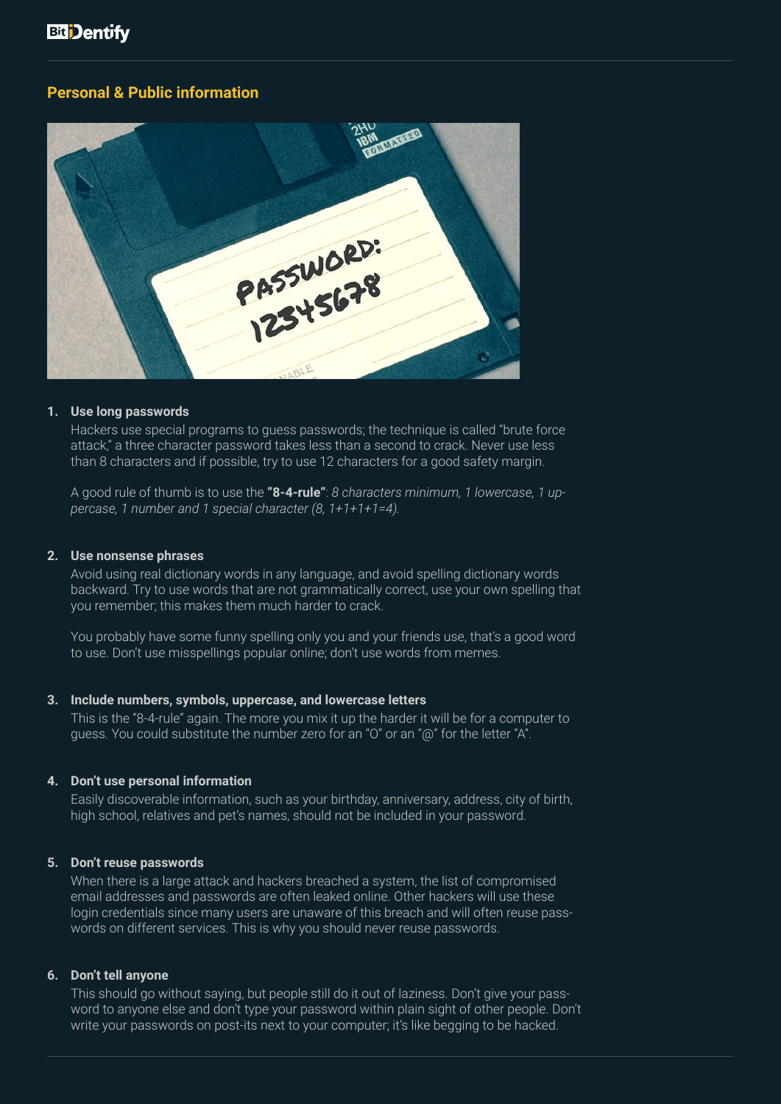#### **Personal & Public information**



#### **1. Use long passwords**

Hackers use special programs to guess passwords; the technique is called "brute force attack," a three character password takes less than a second to crack. Never use less than 8 characters and if possible, try to use 12 characters for a good safety margin.

A good rule of thumb is to use the **"8-4-rule"**: *8 characters minimum, 1 lowercase, 1 uppercase, 1 number and 1 special character (8, 1+1+1+1=4).* 

#### **2. Use nonsense phrases**

Avoid using real dictionary words in any language, and avoid spelling dictionary words backward. Try to use words that are not grammatically correct, use your own spelling that you remember; this makes them much harder to crack.

You probably have some funny spelling only you and your friends use, that's a good word to use. Don't use misspellings popular online; don't use words from memes.

#### **3. Include numbers, symbols, uppercase, and lowercase letters**

This is the "8-4-rule" again. The more you mix it up the harder it will be for a computer to guess. You could substitute the number zero for an "O" or an "@" for the letter "A".

#### **4. Don't use personal information**

Easily discoverable information, such as your birthday, anniversary, address, city of birth, high school, relatives and pet's names, should not be included in your password.

#### **5. Don't reuse passwords**

When there is a large attack and hackers breached a system, the list of compromised email addresses and passwords are often leaked online. Other hackers will use these login credentials since many users are unaware of this breach and will often reuse passwords on different services. This is why you should never reuse passwords.

#### **6. Don't tell anyone**

This should go without saying, but people still do it out of laziness. Don't give your password to anyone else and don't type your password within plain sight of other people. Don't write your passwords on post-its next to your computer; it's like begging to be hacked.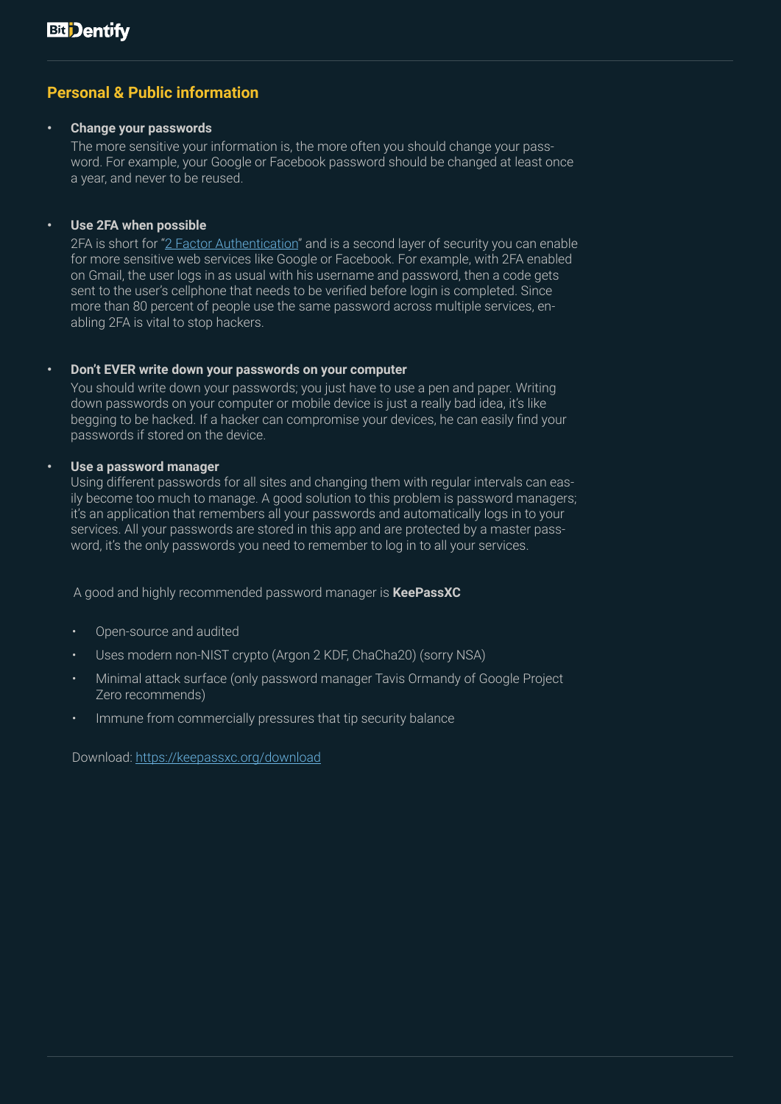# **Personal & Public information**

#### **• Change your passwords**

The more sensitive your information is, the more often you should change your password. For example, your Google or Facebook password should be changed at least once a year, and never to be reused.

#### **• Use 2FA when possible**

2FA is short for "[2 Factor Authentication](https://en.wikipedia.org/wiki/Multi-factor_authentication)" and is a second layer of security you can enable for more sensitive web services like Google or Facebook. For example, with 2FA enabled on Gmail, the user logs in as usual with his username and password, then a code gets sent to the user's cellphone that needs to be verified before login is completed. Since more than 80 percent of people use the same password across multiple services, enabling 2FA is vital to stop hackers.

#### **• Don't EVER write down your passwords on your computer**

You should write down your passwords; you just have to use a pen and paper. Writing down passwords on your computer or mobile device is just a really bad idea, it's like begging to be hacked. If a hacker can compromise your devices, he can easily find your passwords if stored on the device.

#### **• Use a password manager**

Using different passwords for all sites and changing them with regular intervals can easily become too much to manage. A good solution to this problem is password managers; it's an application that remembers all your passwords and automatically logs in to your services. All your passwords are stored in this app and are protected by a master password, it's the only passwords you need to remember to log in to all your services.

A good and highly recommended password manager is **KeePassXC**

- Open-source and audited
- Uses modern non-NIST crypto (Argon 2 KDF, ChaCha20) (sorry NSA)
- Minimal attack surface (only password manager Tavis Ormandy of Google Project Zero recommends)
- Immune from commercially pressures that tip security balance

Download: <https://keepassxc.org/download>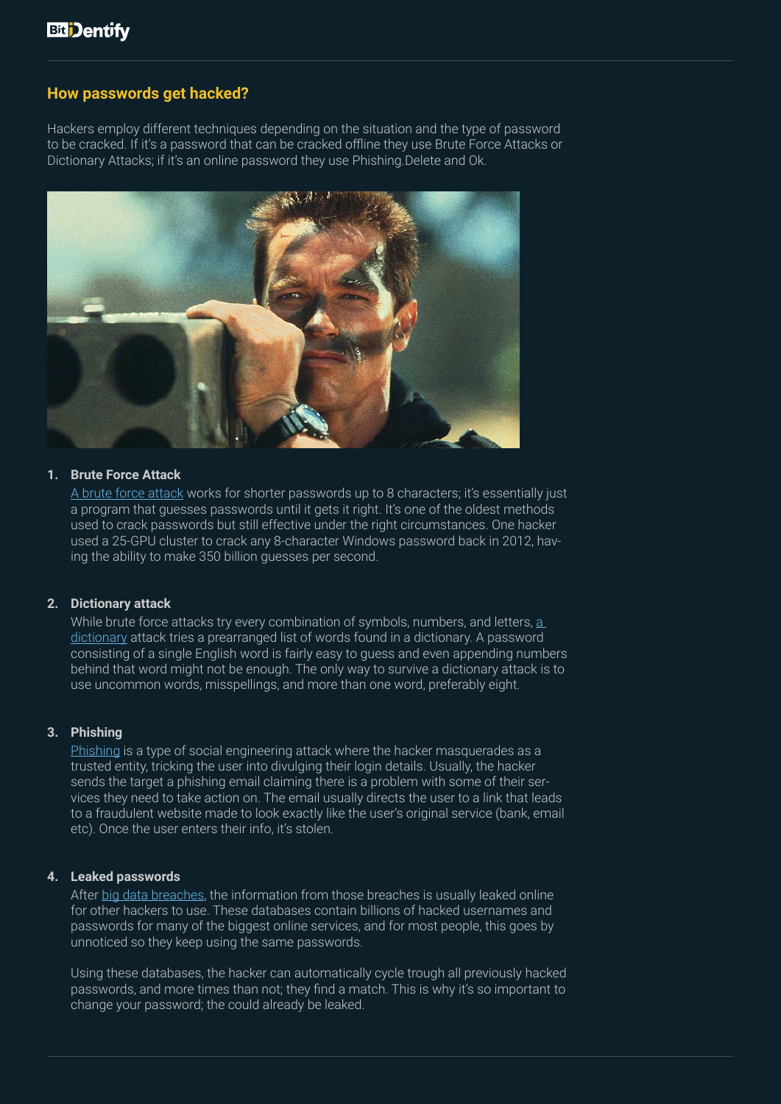### **How passwords get hacked?**

Hackers employ different techniques depending on the situation and the type of password to be cracked. If it's a password that can be cracked offline they use Brute Force Attacks or Dictionary Attacks; if it's an online password they use Phishing.Delete and Ok.



#### **1. Brute Force Attack**

A [brute force attack](https://www.cloudways.com/blog/what-is-brute-force-attack/) works for shorter passwords up to 8 characters; it's essentially just a program that guesses passwords until it gets it right. It's one of the oldest methods used to crack passwords but still effective under the right circumstances. One hacker used a 25-GPU cluster to crack any 8-character Windows password back in 2012, having the ability to make 350 billion guesses per second.

#### **2. Dictionary attack**

While brute force attacks try every combination of symbols, numbers, and letters, [a](https://privacycanada.net/attack-vectors/dictionary-attack/)  [dictionary](https://privacycanada.net/attack-vectors/dictionary-attack/) attack tries a prearranged list of words found in a dictionary. A password consisting of a single English word is fairly easy to guess and even appending numbers behind that word might not be enough. The only way to survive a dictionary attack is to use uncommon words, misspellings, and more than one word, preferably eight.

#### **3. Phishing**

[Phishing](https://www.khanacademy.org/computing/ap-computer-science-principles/the-internet/cybercrime-and-prevention/a/phishing-and-passwords) is a type of social engineering attack where the hacker masquerades as a trusted entity, tricking the user into divulging their login details. Usually, the hacker sends the target a phishing email claiming there is a problem with some of their services they need to take action on. The email usually directs the user to a link that leads to a fraudulent website made to look exactly like the user's original service (bank, email etc). Once the user enters their info, it's stolen.

#### **4. Leaked passwords**

After [big data breaches](https://www.cnet.com/news/2019-data-breach-hall-of-shame-these-were-the-biggest-data-breaches-of-the-year/), the information from those breaches is usually leaked online for other hackers to use. These databases contain billions of hacked usernames and passwords for many of the biggest online services, and for most people, this goes by unnoticed so they keep using the same passwords.

Using these databases, the hacker can automatically cycle trough all previously hacked passwords, and more times than not; they find a match. This is why it's so important to change your password; the could already be leaked.